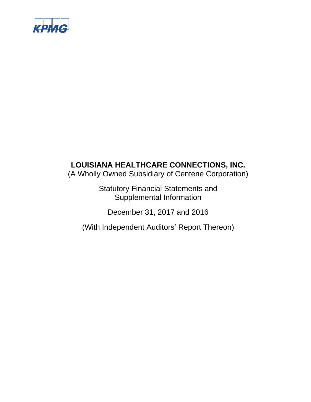

(A Wholly Owned Subsidiary of Centene Corporation)

Statutory Financial Statements and Supplemental Information

December 31, 2017 and 2016

(With Independent Auditors' Report Thereon)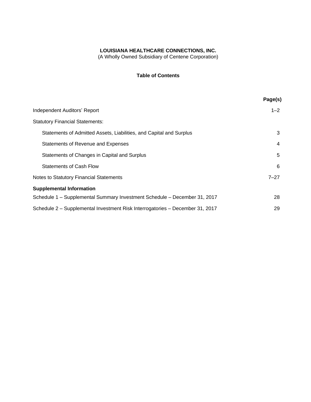(A Wholly Owned Subsidiary of Centene Corporation)

## **Table of Contents**

| Independent Auditors' Report                                                  | $1 - 2$ |
|-------------------------------------------------------------------------------|---------|
| <b>Statutory Financial Statements:</b>                                        |         |
| Statements of Admitted Assets, Liabilities, and Capital and Surplus           | 3       |
| Statements of Revenue and Expenses                                            | 4       |
| Statements of Changes in Capital and Surplus                                  | 5       |
| <b>Statements of Cash Flow</b>                                                | 6       |
| Notes to Statutory Financial Statements                                       | 7–27    |
| <b>Supplemental Information</b>                                               |         |
| Schedule 1 - Supplemental Summary Investment Schedule - December 31, 2017     | 28      |
| Schedule 2 - Supplemental Investment Risk Interrogatories - December 31, 2017 | 29      |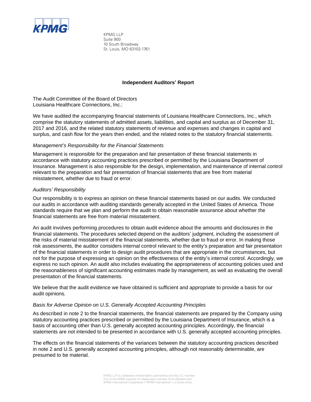

KPMG LLP Suite 900 10 South Broadway St. Louis, MO 63102-1761

#### **Independent Auditors' Report**

The Audit Committee of the Board of Directors Louisiana Healthcare Connections, Inc.:

We have audited the accompanying financial statements of Louisiana Healthcare Connections, Inc., which comprise the statutory statements of admitted assets, liabilities, and capital and surplus as of December 31, 2017 and 2016, and the related statutory statements of revenue and expenses and changes in capital and surplus, and cash flow for the years then ended, and the related notes to the statutory financial statements.

## *Management's Responsibility for the Financial Statements*

Management is responsible for the preparation and fair presentation of these financial statements in accordance with statutory accounting practices prescribed or permitted by the Louisiana Department of Insurance. Management is also responsible for the design, implementation, and maintenance of internal control relevant to the preparation and fair presentation of financial statements that are free from material misstatement, whether due to fraud or error.

## *Auditors' Responsibility*

Our responsibility is to express an opinion on these financial statements based on our audits. We conducted our audits in accordance with auditing standards generally accepted in the United States of America. Those standards require that we plan and perform the audit to obtain reasonable assurance about whether the financial statements are free from material misstatement.

An audit involves performing procedures to obtain audit evidence about the amounts and disclosures in the financial statements. The procedures selected depend on the auditors' judgment, including the assessment of the risks of material misstatement of the financial statements, whether due to fraud or error. In making those risk assessments, the auditor considers internal control relevant to the entity's preparation and fair presentation of the financial statements in order to design audit procedures that are appropriate in the circumstances, but not for the purpose of expressing an opinion on the effectiveness of the entity's internal control. Accordingly, we express no such opinion. An audit also includes evaluating the appropriateness of accounting policies used and the reasonableness of significant accounting estimates made by management, as well as evaluating the overall presentation of the financial statements.

We believe that the audit evidence we have obtained is sufficient and appropriate to provide a basis for our audit opinions.

#### *Basis for Adverse Opinion on U.S. Generally Accepted Accounting Principles*

As described in note 2 to the financial statements, the financial statements are prepared by the Company using statutory accounting practices prescribed or permitted by the Louisiana Department of Insurance, which is a basis of accounting other than U.S. generally accepted accounting principles. Accordingly, the financial statements are not intended to be presented in accordance with U.S. generally accepted accounting principles.

The effects on the financial statements of the variances between the statutory accounting practices described in note 2 and U.S. generally accepted accounting principles, although not reasonably determinable, are presumed to be material.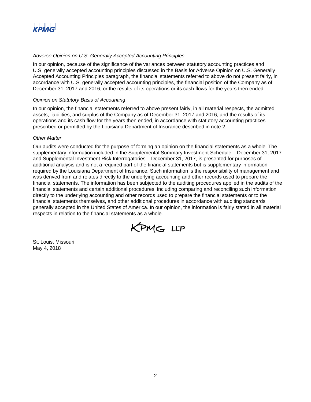

## *Adverse Opinion on U.S. Generally Accepted Accounting Principles*

In our opinion, because of the significance of the variances between statutory accounting practices and U.S. generally accepted accounting principles discussed in the Basis for Adverse Opinion on U.S. Generally Accepted Accounting Principles paragraph, the financial statements referred to above do not present fairly, in accordance with U.S. generally accepted accounting principles, the financial position of the Company as of December 31, 2017 and 2016, or the results of its operations or its cash flows for the years then ended.

#### *Opinion on Statutory Basis of Accounting*

In our opinion, the financial statements referred to above present fairly, in all material respects, the admitted assets, liabilities, and surplus of the Company as of December 31, 2017 and 2016, and the results of its operations and its cash flow for the years then ended, in accordance with statutory accounting practices prescribed or permitted by the Louisiana Department of Insurance described in note 2.

#### *Other Matter*

Our audits were conducted for the purpose of forming an opinion on the financial statements as a whole. The supplementary information included in the Supplemental Summary Investment Schedule – December 31, 2017 and Supplemental Investment Risk Interrogatories – December 31, 2017, is presented for purposes of additional analysis and is not a required part of the financial statements but is supplementary information required by the Louisiana Department of Insurance. Such information is the responsibility of management and was derived from and relates directly to the underlying accounting and other records used to prepare the financial statements. The information has been subjected to the auditing procedures applied in the audits of the financial statements and certain additional procedures, including comparing and reconciling such information directly to the underlying accounting and other records used to prepare the financial statements or to the financial statements themselves, and other additional procedures in accordance with auditing standards generally accepted in the United States of America. In our opinion, the information is fairly stated in all material respects in relation to the financial statements as a whole.



St. Louis, Missouri May 4, 2018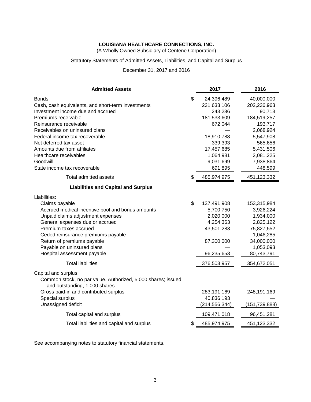(A Wholly Owned Subsidiary of Centene Corporation)

Statutory Statements of Admitted Assets, Liabilities, and Capital and Surplus

December 31, 2017 and 2016

| <b>Admitted Assets</b>                                       | 2017              | 2016            |
|--------------------------------------------------------------|-------------------|-----------------|
| <b>Bonds</b>                                                 | \$<br>24,396,489  | 40,000,000      |
| Cash, cash equivalents, and short-term investments           | 231,633,106       | 202,236,963     |
| Investment income due and accrued                            | 243,286           | 90,713          |
| Premiums receivable                                          | 181,533,609       | 184,519,257     |
| Reinsurance receivable                                       | 672,044           | 193,717         |
| Receivables on uninsured plans                               |                   | 2,068,924       |
| Federal income tax recoverable                               | 18,910,788        | 5,547,908       |
| Net deferred tax asset                                       | 339,393           | 565,656         |
| Amounts due from affiliates                                  | 17,457,685        | 5,431,506       |
| Healthcare receivables                                       | 1,064,981         | 2,081,225       |
| Goodwill                                                     | 9,031,699         | 7,938,864       |
| State income tax recoverable                                 | 691,895           | 448,599         |
| Total admitted assets                                        | \$<br>485,974,975 | 451,123,332     |
| <b>Liabilities and Capital and Surplus</b>                   |                   |                 |
| Liabilities:                                                 |                   |                 |
| Claims payable                                               | \$<br>137,491,908 | 153,315,984     |
| Accrued medical incentive pool and bonus amounts             | 5,700,750         | 3,926,224       |
| Unpaid claims adjustment expenses                            | 2,020,000         | 1,934,000       |
| General expenses due or accrued                              | 4,254,363         | 2,825,122       |
| Premium taxes accrued                                        | 43,501,283        | 75,827,552      |
| Ceded reinsurance premiums payable                           |                   | 1,046,285       |
| Return of premiums payable                                   | 87,300,000        | 34,000,000      |
| Payable on uninsured plans                                   |                   | 1,053,093       |
| Hospital assessment payable                                  | 96,235,653        | 80,743,791      |
| <b>Total liabilities</b>                                     | 376,503,957       | 354,672,051     |
| Capital and surplus:                                         |                   |                 |
| Common stock, no par value. Authorized, 5,000 shares; issued |                   |                 |
| and outstanding, 1,000 shares                                |                   |                 |
| Gross paid-in and contributed surplus                        | 283,191,169       | 248,191,169     |
| Special surplus                                              | 40,836,193        |                 |
| Unassigned deficit                                           | (214,556,344)     | (151, 739, 888) |
| Total capital and surplus                                    | 109,471,018       | 96,451,281      |
| Total liabilities and capital and surplus                    | \$<br>485,974,975 | 451,123,332     |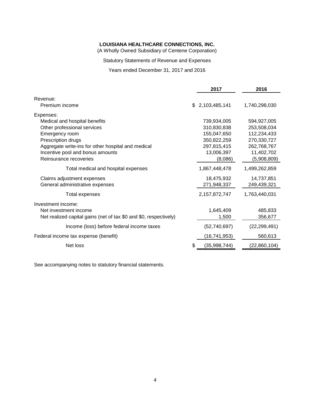(A Wholly Owned Subsidiary of Centene Corporation)

Statutory Statements of Revenue and Expenses

Years ended December 31, 2017 and 2016

|                                                                   | 2017                | 2016           |
|-------------------------------------------------------------------|---------------------|----------------|
| Revenue:                                                          |                     |                |
| Premium income                                                    | \$<br>2,103,485,141 | 1,740,298,030  |
| Expenses:                                                         |                     |                |
| Medical and hospital benefits                                     | 739,934,005         | 594,927,005    |
| Other professional services                                       | 310,830,838         | 253,508,034    |
| Emergency room                                                    | 155,047,650         | 112,234,433    |
| Prescription drugs                                                | 350,822,259         | 270,330,727    |
| Aggregate write-ins for other hospital and medical                | 297,815,415         | 262,768,767    |
| Incentive pool and bonus amounts                                  | 13,006,397          | 11,402,702     |
| Reinsurance recoveries                                            | (8,086)             | (5,908,809)    |
| Total medical and hospital expenses                               | 1,867,448,478       | 1,499,262,859  |
| Claims adjustment expenses                                        | 18,475,932          | 14,737,851     |
| General administrative expenses                                   | 271,948,337         | 249,439,321    |
| Total expenses                                                    | 2, 157, 872, 747    | 1,763,440,031  |
| Investment income:                                                |                     |                |
| Net investment income                                             | 1,645,409           | 485.833        |
| Net realized capital gains (net of tax \$0 and \$0, respectively) | 1,500               | 356,677        |
| Income (loss) before federal income taxes                         | (52,740,697)        | (22, 299, 491) |
| Federal income tax expense (benefit)                              | (16,741,953)        | 560,613        |
| Net loss                                                          | \$<br>(35,998,744)  | (22,860,104)   |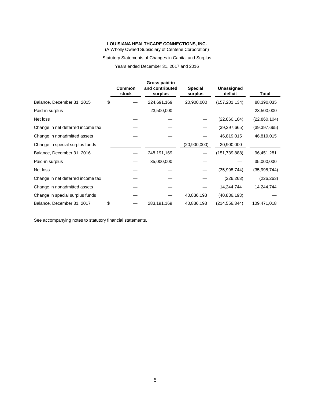(A Wholly Owned Subsidiary of Centene Corporation)

## Statutory Statements of Changes in Capital and Surplus

## Years ended December 31, 2017 and 2016

|                                   | <b>Common</b><br>stock | Gross paid-in<br>and contributed<br>surplus | <b>Special</b><br>surplus | Unassigned<br>deficit | Total          |
|-----------------------------------|------------------------|---------------------------------------------|---------------------------|-----------------------|----------------|
| Balance, December 31, 2015        | \$                     | 224,691,169                                 | 20,900,000                | (157, 201, 134)       | 88,390,035     |
| Paid-in surplus                   |                        | 23,500,000                                  |                           |                       | 23,500,000     |
| Net loss                          |                        |                                             |                           | (22,860,104)          | (22,860,104)   |
| Change in net deferred income tax |                        |                                             |                           | (39, 397, 665)        | (39, 397, 665) |
| Change in nonadmitted assets      |                        |                                             |                           | 46,819,015            | 46,819,015     |
| Change in special surplus funds   |                        |                                             | (20,900,000)              | 20,900,000            |                |
| Balance, December 31, 2016        |                        | 248,191,169                                 |                           | (151, 739, 888)       | 96,451,281     |
| Paid-in surplus                   |                        | 35,000,000                                  |                           |                       | 35,000,000     |
| Net loss                          |                        |                                             |                           | (35, 998, 744)        | (35,998,744)   |
| Change in net deferred income tax |                        |                                             |                           | (226, 263)            | (226, 263)     |
| Change in nonadmitted assets      |                        |                                             |                           | 14,244,744            | 14,244,744     |
| Change in special surplus funds   |                        |                                             | 40,836,193                | (40,836,193)          |                |
| Balance, December 31, 2017        | \$                     | 283,191,169                                 | 40,836,193                | (214, 556, 344)       | 109,471,018    |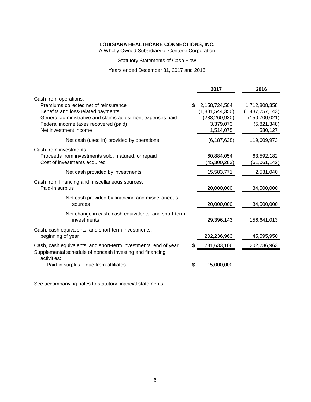(A Wholly Owned Subsidiary of Centene Corporation)

Statutory Statements of Cash Flow

Years ended December 31, 2017 and 2016

|                                                                                                                                                                                                                                      |     | 2017                                                                          | 2016                                                                          |
|--------------------------------------------------------------------------------------------------------------------------------------------------------------------------------------------------------------------------------------|-----|-------------------------------------------------------------------------------|-------------------------------------------------------------------------------|
| Cash from operations:<br>Premiums collected net of reinsurance<br>Benefits and loss-related payments<br>General administrative and claims adjustment expenses paid<br>Federal income taxes recovered (paid)<br>Net investment income | \$. | 2,158,724,504<br>(1,881,544,350)<br>(288, 260, 930)<br>3,379,073<br>1,514,075 | 1,712,808,358<br>(1,437,257,143)<br>(150, 700, 021)<br>(5,821,348)<br>580,127 |
| Net cash (used in) provided by operations                                                                                                                                                                                            |     | (6, 187, 628)                                                                 | 119,609,973                                                                   |
| Cash from investments:<br>Proceeds from investments sold, matured, or repaid<br>Cost of investments acquired                                                                                                                         |     | 60,884,054<br>(45,300,283)                                                    | 63,592,182<br>(61,061,142)                                                    |
| Net cash provided by investments                                                                                                                                                                                                     |     | 15,583,771                                                                    | 2,531,040                                                                     |
| Cash from financing and miscellaneous sources:<br>Paid-in surplus                                                                                                                                                                    |     | 20,000,000                                                                    | 34,500,000                                                                    |
| Net cash provided by financing and miscellaneous<br>sources                                                                                                                                                                          |     | 20,000,000                                                                    | 34,500,000                                                                    |
| Net change in cash, cash equivalents, and short-term<br>investments                                                                                                                                                                  |     | 29,396,143                                                                    | 156,641,013                                                                   |
| Cash, cash equivalents, and short-term investments,<br>beginning of year                                                                                                                                                             |     | 202,236,963                                                                   | 45,595,950                                                                    |
| Cash, cash equivalents, and short-term investments, end of year<br>Supplemental schedule of noncash investing and financing<br>activities:                                                                                           | \$  | 231,633,106                                                                   | 202,236,963                                                                   |
| Paid-in surplus - due from affiliates                                                                                                                                                                                                | \$  | 15,000,000                                                                    |                                                                               |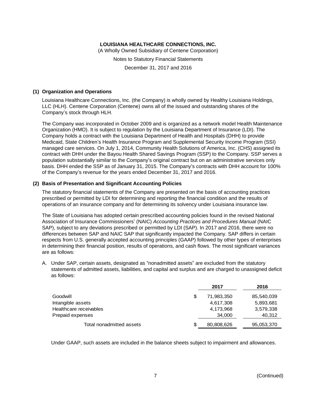(A Wholly Owned Subsidiary of Centene Corporation)

Notes to Statutory Financial Statements

December 31, 2017 and 2016

#### **(1) Organization and Operations**

Louisiana Healthcare Connections, Inc. (the Company) is wholly owned by Healthy Louisiana Holdings, LLC (HLH). Centene Corporation (Centene) owns all of the issued and outstanding shares of the Company's stock through HLH.

The Company was incorporated in October 2009 and is organized as a network model Health Maintenance Organization (HMO). It is subject to regulation by the Louisiana Department of Insurance (LDI). The Company holds a contract with the Louisiana Department of Health and Hospitals (DHH) to provide Medicaid, State Children's Health Insurance Program and Supplemental Security Income Program (SSI) managed care services. On July 1, 2014, Community Health Solutions of America, Inc. (CHS) assigned its contract with DHH under the Bayou Health Shared Savings Program (SSP) to the Company. SSP serves a population substantially similar to the Company's original contract but on an administrative services only basis. DHH ended the SSP as of January 31, 2015. The Company's contracts with DHH account for 100% of the Company's revenue for the years ended December 31, 2017 and 2016.

## **(2) Basis of Presentation and Significant Accounting Policies**

The statutory financial statements of the Company are presented on the basis of accounting practices prescribed or permitted by LDI for determining and reporting the financial condition and the results of operations of an insurance company and for determining its solvency under Louisiana insurance law.

The State of Louisiana has adopted certain prescribed accounting policies found in the revised National Association of Insurance Commissioners' (NAIC) *Accounting Practices and Procedures Manual* (NAIC SAP), subject to any deviations prescribed or permitted by LDI (SAP). In 2017 and 2016, there were no differences between SAP and NAIC SAP that significantly impacted the Company. SAP differs in certain respects from U.S. generally accepted accounting principles (GAAP) followed by other types of enterprises in determining their financial position, results of operations, and cash flows. The most significant variances are as follows:

A. Under SAP, certain assets, designated as "nonadmitted assets" are excluded from the statutory statements of admitted assets, liabilities, and capital and surplus and are charged to unassigned deficit as follows:

|                          | 2017             | 2016       |
|--------------------------|------------------|------------|
| Goodwill                 | \$<br>71,983,350 | 85,540,039 |
| Intangible assets        | 4,617,308        | 5,893,681  |
| Healthcare receivables   | 4,173,968        | 3,579,338  |
| Prepaid expenses         | 34,000           | 40,312     |
| Total nonadmitted assets | \$<br>80,808,626 | 95,053,370 |

Under GAAP, such assets are included in the balance sheets subject to impairment and allowances.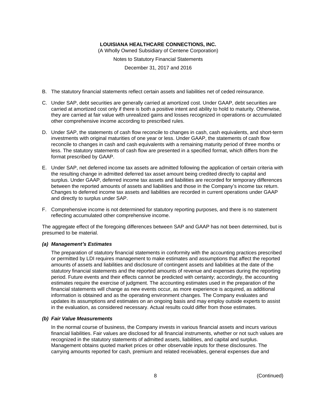# **LOUISIANA HEALTHCARE CONNECTIONS, INC.** (A Wholly Owned Subsidiary of Centene Corporation) Notes to Statutory Financial Statements December 31, 2017 and 2016

- B. The statutory financial statements reflect certain assets and liabilities net of ceded reinsurance.
- C. Under SAP, debt securities are generally carried at amortized cost. Under GAAP, debt securities are carried at amortized cost only if there is both a positive intent and ability to hold to maturity. Otherwise, they are carried at fair value with unrealized gains and losses recognized in operations or accumulated other comprehensive income according to prescribed rules.
- D. Under SAP, the statements of cash flow reconcile to changes in cash, cash equivalents, and short-term investments with original maturities of one year or less. Under GAAP, the statements of cash flow reconcile to changes in cash and cash equivalents with a remaining maturity period of three months or less. The statutory statements of cash flow are presented in a specified format, which differs from the format prescribed by GAAP.
- E. Under SAP, net deferred income tax assets are admitted following the application of certain criteria with the resulting change in admitted deferred tax asset amount being credited directly to capital and surplus. Under GAAP, deferred income tax assets and liabilities are recorded for temporary differences between the reported amounts of assets and liabilities and those in the Company's income tax return. Changes to deferred income tax assets and liabilities are recorded in current operations under GAAP and directly to surplus under SAP.
- F. Comprehensive income is not determined for statutory reporting purposes, and there is no statement reflecting accumulated other comprehensive income.

The aggregate effect of the foregoing differences between SAP and GAAP has not been determined, but is presumed to be material.

## *(a) Management's Estimates*

The preparation of statutory financial statements in conformity with the accounting practices prescribed or permitted by LDI requires management to make estimates and assumptions that affect the reported amounts of assets and liabilities and disclosure of contingent assets and liabilities at the date of the statutory financial statements and the reported amounts of revenue and expenses during the reporting period. Future events and their effects cannot be predicted with certainty; accordingly, the accounting estimates require the exercise of judgment. The accounting estimates used in the preparation of the financial statements will change as new events occur, as more experience is acquired, as additional information is obtained and as the operating environment changes. The Company evaluates and updates its assumptions and estimates on an ongoing basis and may employ outside experts to assist in the evaluation, as considered necessary. Actual results could differ from those estimates.

## *(b) Fair Value Measurements*

In the normal course of business, the Company invests in various financial assets and incurs various financial liabilities. Fair values are disclosed for all financial instruments, whether or not such values are recognized in the statutory statements of admitted assets, liabilities, and capital and surplus. Management obtains quoted market prices or other observable inputs for these disclosures. The carrying amounts reported for cash, premium and related receivables, general expenses due and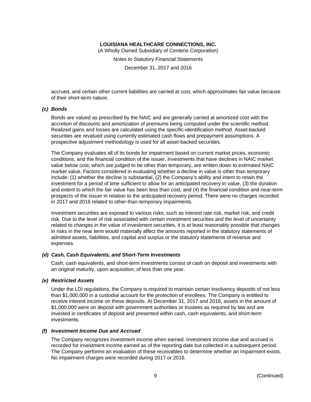# **LOUISIANA HEALTHCARE CONNECTIONS, INC.** (A Wholly Owned Subsidiary of Centene Corporation) Notes to Statutory Financial Statements December 31, 2017 and 2016

accrued, and certain other current liabilities are carried at cost, which approximates fair value because of their short-term nature.

#### *(c) Bonds*

Bonds are valued as prescribed by the NAIC and are generally carried at amortized cost with the accretion of discounts and amortization of premiums being computed under the scientific method. Realized gains and losses are calculated using the specific-identification method. Asset-backed securities are revalued using currently estimated cash flows and prepayment assumptions. A prospective adjustment methodology is used for all asset-backed securities.

The Company evaluates all of its bonds for impairment based on current market prices, economic conditions, and the financial condition of the issuer. Investments that have declines in NAIC market value below cost, which are judged to be other than temporary, are written down to estimated NAIC market value. Factors considered in evaluating whether a decline in value is other than temporary include: (1) whether the decline is substantial, (2) the Company's ability and intent to retain the investment for a period of time sufficient to allow for an anticipated recovery in value, (3) the duration and extent to which the fair value has been less than cost, and (4) the financial condition and near-term prospects of the issuer in relation to the anticipated recovery period. There were no charges recorded in 2017 and 2016 related to other-than-temporary impairments.

Investment securities are exposed to various risks, such as interest rate risk, market risk, and credit risk. Due to the level of risk associated with certain investment securities and the level of uncertainty related to changes in the value of investment securities, it is at least reasonably possible that changes in risks in the near term would materially affect the amounts reported in the statutory statements of admitted assets, liabilities, and capital and surplus or the statutory statements of revenue and expenses.

#### *(d) Cash, Cash Equivalents, and Short-Term Investments*

Cash, cash equivalents, and short-term investments consist of cash on deposit and investments with an original maturity, upon acquisition, of less than one year.

## *(e) Restricted Assets*

Under the LDI regulations, the Company is required to maintain certain insolvency deposits of not less than \$1,000,000 in a custodial account for the protection of enrollees. The Company is entitled to receive interest income on these deposits. At December 31, 2017 and 2016, assets in the amount of \$1,000,000 were on deposit with government authorities or trustees as required by law and are invested in certificates of deposit and presented within cash, cash equivalents, and short-term investments.

#### *(f) Investment Income Due and Accrued*

The Company recognizes investment income when earned. Investment income due and accrued is recorded for investment income earned as of the reporting date but collected in a subsequent period. The Company performs an evaluation of these receivables to determine whether an impairment exists. No impairment charges were recorded during 2017 or 2016.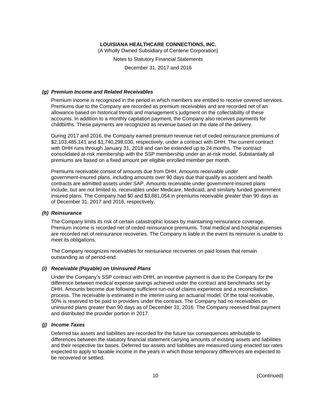(A Wholly Owned Subsidiary of Centene Corporation)

Notes to Statutory Financial Statements

December 31, 2017 and 2016

#### *(g) Premium Income and Related Receivables*

Premium income is recognized in the period in which members are entitled to receive covered services. Premiums due to the Company are recorded as premium receivables and are recorded net of an allowance based on historical trends and management's judgment on the collectability of these accounts. In addition to a monthly capitation payment, the Company also receives payments for childbirths. These payments are recognized as revenue based on the date of the delivery.

During 2017 and 2016, the Company earned premium revenue net of ceded reinsurance premiums of \$2,103,485,141 and \$1,740,298,030, respectively, under a contract with DHH. The current contract with DHH runs through January 31, 2018 and can be extended up to 24 months. The contract consolidated at-risk membership with the SSP membership under an at-risk model. Substantially all premiums are based on a fixed amount per eligible enrolled member per month.

Premiums receivable consist of amounts due from DHH. Amounts receivable under government-insured plans, including amounts over 90 days due that qualify as accident and health contracts are admitted assets under SAP. Amounts receivable under government-insured plans include, but are not limited to, receivables under Medicare, Medicaid, and similarly funded government insured plans. The Company had \$0 and \$3,881,054 in premiums receivable greater than 90 days as of December 31, 2017 and 2016, respectively.

#### *(h) Reinsurance*

The Company limits its risk of certain catastrophic losses by maintaining reinsurance coverage. Premium income is recorded net of ceded reinsurance premiums. Total medical and hospital expenses are recorded net of reinsurance recoveries. The Company is liable in the event its reinsurer is unable to meet its obligations.

The Company recognizes receivables for reinsurance recoveries on paid losses that remain outstanding as of period-end.

#### *(i) Receivable (Payable) on Uninsured Plans*

Under the Company's SSP contract with DHH, an incentive payment is due to the Company for the difference between medical expense savings achieved under the contract and benchmarks set by DHH. Amounts become due following sufficient run-out of claims experience and a reconciliation process. The receivable is estimated in the interim using an actuarial model. Of the total receivable, 50% is reserved to be paid to providers under the contract. The Company had no receivables on uninsured plans greater than 90 days as of December 31, 2016. The Company received final payment and distributed the provider portion in 2017.

#### *(j) Income Taxes*

Deferred tax assets and liabilities are recorded for the future tax consequences attributable to differences between the statutory financial statement carrying amounts of existing assets and liabilities and their respective tax bases. Deferred tax assets and liabilities are measured using enacted tax rates expected to apply to taxable income in the years in which those temporary differences are expected to be recovered or settled.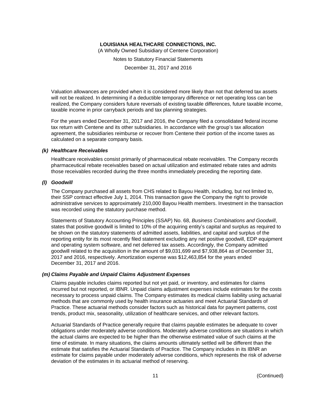(A Wholly Owned Subsidiary of Centene Corporation)

Notes to Statutory Financial Statements December 31, 2017 and 2016

Valuation allowances are provided when it is considered more likely than not that deferred tax assets will not be realized. In determining if a deductible temporary difference or net operating loss can be realized, the Company considers future reversals of existing taxable differences, future taxable income, taxable income in prior carryback periods and tax planning strategies.

For the years ended December 31, 2017 and 2016, the Company filed a consolidated federal income tax return with Centene and its other subsidiaries. In accordance with the group's tax allocation agreement, the subsidiaries reimburse or recover from Centene their portion of the income taxes as calculated on a separate company basis.

#### *(k) Healthcare Receivables*

Healthcare receivables consist primarily of pharmaceutical rebate receivables. The Company records pharmaceutical rebate receivables based on actual utilization and estimated rebate rates and admits those receivables recorded during the three months immediately preceding the reporting date.

## *(l) Goodwill*

The Company purchased all assets from CHS related to Bayou Health, including, but not limited to, their SSP contract effective July 1, 2014. This transaction gave the Company the right to provide administrative services to approximately 210,000 Bayou Health members. Investment in the transaction was recorded using the statutory purchase method.

Statements of Statutory Accounting Principles (SSAP) No. 68, *Business Combinations and Goodwill*, states that positive goodwill is limited to 10% of the acquiring entity's capital and surplus as required to be shown on the statutory statements of admitted assets, liabilities, and capital and surplus of the reporting entity for its most recently filed statement excluding any net positive goodwill, EDP equipment and operating system software, and net deferred tax assets. Accordingly, the Company admitted goodwill related to the acquisition in the amount of \$9,031,699 and \$7,938,864 as of December 31, 2017 and 2016, respectively. Amortization expense was \$12,463,854 for the years ended December 31, 2017 and 2016.

#### *(m) Claims Payable and Unpaid Claims Adjustment Expenses*

Claims payable includes claims reported but not yet paid, or inventory, and estimates for claims incurred but not reported, or IBNR. Unpaid claims adjustment expenses include estimates for the costs necessary to process unpaid claims. The Company estimates its medical claims liability using actuarial methods that are commonly used by health insurance actuaries and meet Actuarial Standards of Practice. These actuarial methods consider factors such as historical data for payment patterns, cost trends, product mix, seasonality, utilization of healthcare services, and other relevant factors.

Actuarial Standards of Practice generally require that claims payable estimates be adequate to cover obligations under moderately adverse conditions. Moderately adverse conditions are situations in which the actual claims are expected to be higher than the otherwise estimated value of such claims at the time of estimate. In many situations, the claims amounts ultimately settled will be different than the estimate that satisfies the Actuarial Standards of Practice. The Company includes in its IBNR an estimate for claims payable under moderately adverse conditions, which represents the risk of adverse deviation of the estimates in its actuarial method of reserving.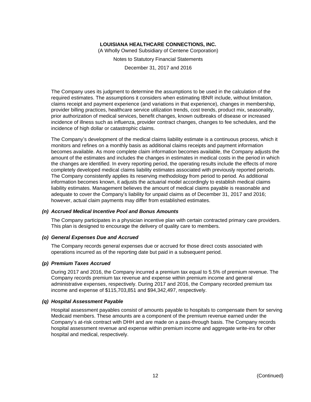## **LOUISIANA HEALTHCARE CONNECTIONS, INC.** (A Wholly Owned Subsidiary of Centene Corporation)

Notes to Statutory Financial Statements December 31, 2017 and 2016

The Company uses its judgment to determine the assumptions to be used in the calculation of the required estimates. The assumptions it considers when estimating IBNR include, without limitation, claims receipt and payment experience (and variations in that experience), changes in membership, provider billing practices, healthcare service utilization trends, cost trends, product mix, seasonality, prior authorization of medical services, benefit changes, known outbreaks of disease or increased incidence of illness such as influenza, provider contract changes, changes to fee schedules, and the incidence of high dollar or catastrophic claims.

The Company's development of the medical claims liability estimate is a continuous process, which it monitors and refines on a monthly basis as additional claims receipts and payment information becomes available. As more complete claim information becomes available, the Company adjusts the amount of the estimates and includes the changes in estimates in medical costs in the period in which the changes are identified. In every reporting period, the operating results include the effects of more completely developed medical claims liability estimates associated with previously reported periods. The Company consistently applies its reserving methodology from period to period. As additional information becomes known, it adjusts the actuarial model accordingly to establish medical claims liability estimates. Management believes the amount of medical claims payable is reasonable and adequate to cover the Company's liability for unpaid claims as of December 31, 2017 and 2016; however, actual claim payments may differ from established estimates.

#### *(n) Accrued Medical Incentive Pool and Bonus Amounts*

The Company participates in a physician incentive plan with certain contracted primary care providers. This plan is designed to encourage the delivery of quality care to members.

#### *(o) General Expenses Due and Accrued*

The Company records general expenses due or accrued for those direct costs associated with operations incurred as of the reporting date but paid in a subsequent period.

#### *(p) Premium Taxes Accrued*

During 2017 and 2016, the Company incurred a premium tax equal to 5.5% of premium revenue. The Company records premium tax revenue and expense within premium income and general administrative expenses, respectively. During 2017 and 2016, the Company recorded premium tax income and expense of \$115,703,851 and \$94,342,497, respectively.

#### *(q) Hospital Assessment Payable*

Hospital assessment payables consist of amounts payable to hospitals to compensate them for serving Medicaid members. These amounts are a component of the premium revenue earned under the Company's at-risk contract with DHH and are made on a pass-through basis. The Company records hospital assessment revenue and expense within premium income and aggregate write-ins for other hospital and medical, respectively.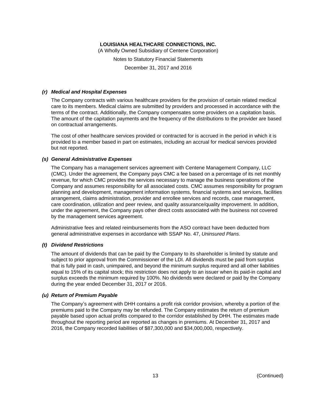(A Wholly Owned Subsidiary of Centene Corporation)

Notes to Statutory Financial Statements

December 31, 2017 and 2016

#### *(r) Medical and Hospital Expenses*

The Company contracts with various healthcare providers for the provision of certain related medical care to its members. Medical claims are submitted by providers and processed in accordance with the terms of the contract. Additionally, the Company compensates some providers on a capitation basis. The amount of the capitation payments and the frequency of the distributions to the provider are based on contractual arrangements.

The cost of other healthcare services provided or contracted for is accrued in the period in which it is provided to a member based in part on estimates, including an accrual for medical services provided but not reported.

## *(s) General Administrative Expenses*

The Company has a management services agreement with Centene Management Company, LLC (CMC). Under the agreement, the Company pays CMC a fee based on a percentage of its net monthly revenue, for which CMC provides the services necessary to manage the business operations of the Company and assumes responsibility for all associated costs. CMC assumes responsibility for program planning and development, management information systems, financial systems and services, facilities arrangement, claims administration, provider and enrollee services and records, case management, care coordination, utilization and peer review, and quality assurance/quality improvement. In addition, under the agreement, the Company pays other direct costs associated with the business not covered by the management services agreement.

Administrative fees and related reimbursements from the ASO contract have been deducted from general administrative expenses in accordance with SSAP No. 47, *Uninsured Plans*.

#### *(t) Dividend Restrictions*

The amount of dividends that can be paid by the Company to its shareholder is limited by statute and subject to prior approval from the Commissioner of the LDI. All dividends must be paid from surplus that is fully paid in cash, unimpaired, and beyond the minimum surplus required and all other liabilities equal to 15% of its capital stock; this restriction does not apply to an issuer when its paid-in capital and surplus exceeds the minimum required by 100%. No dividends were declared or paid by the Company during the year ended December 31, 2017 or 2016.

#### *(u) Return of Premium Payable*

The Company's agreement with DHH contains a profit risk corridor provision, whereby a portion of the premiums paid to the Company may be refunded. The Company estimates the return of premium payable based upon actual profits compared to the corridor established by DHH. The estimates made throughout the reporting period are reported as changes in premiums. At December 31, 2017 and 2016, the Company recorded liabilities of \$87,300,000 and \$34,000,000, respectively.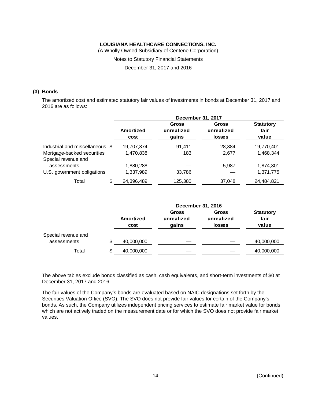(A Wholly Owned Subsidiary of Centene Corporation)

Notes to Statutory Financial Statements

December 31, 2017 and 2016

## **(3) Bonds**

The amortized cost and estimated statutory fair values of investments in bonds at December 31, 2017 and 2016 are as follows:

|                                                   | <b>December 31, 2017</b> |                                     |                                      |                                   |  |  |  |
|---------------------------------------------------|--------------------------|-------------------------------------|--------------------------------------|-----------------------------------|--|--|--|
|                                                   | Amortized<br>cost        | <b>Gross</b><br>unrealized<br>gains | <b>Gross</b><br>unrealized<br>losses | <b>Statutory</b><br>fair<br>value |  |  |  |
| Industrial and miscellaneous \$                   | 19,707,374               | 91.411                              | 28,384                               | 19,770,401                        |  |  |  |
| Mortgage-backed securities<br>Special revenue and | 1,470,838                | 183                                 | 2,677                                | 1,468,344                         |  |  |  |
| assessments                                       | 1,880,288                |                                     | 5,987                                | 1,874,301                         |  |  |  |
| U.S. government obligations                       | 1,337,989                | 33,786                              |                                      | 1,371,775                         |  |  |  |
| Total                                             | 24,396,489               | 125,380                             | 37,048                               | 24,484,821                        |  |  |  |

|                                    | December 31, 2016 |                                     |                                      |                                   |  |  |  |  |
|------------------------------------|-------------------|-------------------------------------|--------------------------------------|-----------------------------------|--|--|--|--|
|                                    | Amortized<br>cost | <b>Gross</b><br>unrealized<br>gains | <b>Gross</b><br>unrealized<br>losses | <b>Statutory</b><br>fair<br>value |  |  |  |  |
| Special revenue and<br>assessments | 40,000,000        |                                     |                                      | 40,000,000                        |  |  |  |  |
| Total                              | 40,000,000        |                                     |                                      | 40,000,000                        |  |  |  |  |

The above tables exclude bonds classified as cash, cash equivalents, and short-term investments of \$0 at December 31, 2017 and 2016.

The fair values of the Company's bonds are evaluated based on NAIC designations set forth by the Securities Valuation Office (SVO). The SVO does not provide fair values for certain of the Company's bonds. As such, the Company utilizes independent pricing services to estimate fair market value for bonds, which are not actively traded on the measurement date or for which the SVO does not provide fair market values.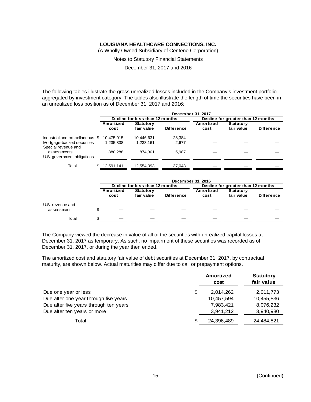(A Wholly Owned Subsidiary of Centene Corporation)

Notes to Statutory Financial Statements

December 31, 2017 and 2016

The following tables illustrate the gross unrealized losses included in the Company's investment portfolio aggregated by investment category. The tables also illustrate the length of time the securities have been in an unrealized loss position as of December 31, 2017 and 2016:

|                                                   |  | December 31, 2017 |                                 |        |                                    |                                |                   |  |  |  |  |
|---------------------------------------------------|--|-------------------|---------------------------------|--------|------------------------------------|--------------------------------|-------------------|--|--|--|--|
|                                                   |  |                   | Decline for less than 12 months |        | Decline for greater than 12 months |                                |                   |  |  |  |  |
|                                                   |  | Amortized<br>cost | <b>Statutory</b><br>fair value  |        | Amortized<br>cost                  | <b>Statutory</b><br>fair value | <b>Difference</b> |  |  |  |  |
| Industrial and miscellaneous \$                   |  | 10,475,015        | 10.446.631                      | 28.384 |                                    |                                |                   |  |  |  |  |
| Mortgage-backed securities<br>Special revenue and |  | 1,235,838         | 1,233,161                       | 2,677  |                                    |                                |                   |  |  |  |  |
| assessments                                       |  | 880.288           | 874.301                         | 5.987  |                                    |                                |                   |  |  |  |  |
| U.S. government obligations                       |  |                   |                                 |        |                                    |                                |                   |  |  |  |  |
| Total                                             |  | 12,591,141        | 12,554,093                      | 37.048 |                                    |                                |                   |  |  |  |  |

|                                | December 31, 2016 |                                 |                   |                                    |                                |                   |  |  |  |  |
|--------------------------------|-------------------|---------------------------------|-------------------|------------------------------------|--------------------------------|-------------------|--|--|--|--|
|                                |                   | Decline for less than 12 months |                   | Decline for greater than 12 months |                                |                   |  |  |  |  |
|                                | Amortized<br>cost | <b>Statutory</b><br>fair value  | <b>Difference</b> | Amortized<br>cost                  | <b>Statutory</b><br>fair value | <b>Difference</b> |  |  |  |  |
| U.S. revenue and<br>assessment |                   |                                 |                   |                                    |                                |                   |  |  |  |  |
| Total                          |                   |                                 |                   |                                    |                                |                   |  |  |  |  |

The Company viewed the decrease in value of all of the securities with unrealized capital losses at December 31, 2017 as temporary. As such, no impairment of these securities was recorded as of December 31, 2017, or during the year then ended.

The amortized cost and statutory fair value of debt securities at December 31, 2017, by contractual maturity, are shown below. Actual maturities may differ due to call or prepayment options.

|                                        |    | <b>Amortized</b><br>cost | <b>Statutory</b><br>fair value |
|----------------------------------------|----|--------------------------|--------------------------------|
| Due one year or less                   | \$ | 2,014,262                | 2,011,773                      |
| Due after one year through five years  |    | 10,457,594               | 10,455,836                     |
| Due after five years through ten years |    | 7,983,421                | 8,076,232                      |
| Due after ten years or more            |    | 3,941,212                | 3,940,980                      |
| Total                                  | S  | 24,396,489               | 24,484,821                     |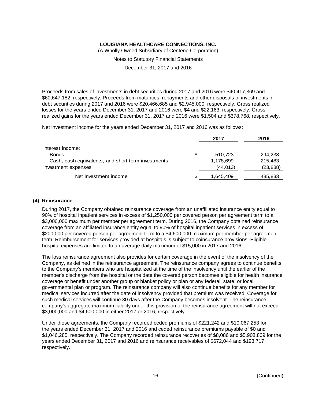(A Wholly Owned Subsidiary of Centene Corporation)

Notes to Statutory Financial Statements

December 31, 2017 and 2016

Proceeds from sales of investments in debt securities during 2017 and 2016 were \$40,417,369 and \$60,647,182, respectively. Proceeds from maturities, repayments and other disposals of investments in debt securities during 2017 and 2016 were \$20,466,685 and \$2,945,000, respectively. Gross realized losses for the years ended December 31, 2017 and 2016 were \$4 and \$22,163, respectively. Gross realized gains for the years ended December 31, 2017 and 2016 were \$1,504 and \$378,768, respectively.

Net investment income for the years ended December 31, 2017 and 2016 was as follows:

| 2017          | 2016      |
|---------------|-----------|
|               |           |
| \$<br>510,723 | 294,238   |
| 1,178,699     | 215,483   |
| (44, 013)     | (23, 888) |
| 1,645,409     | 485,833   |
|               |           |

#### **(4) Reinsurance**

During 2017, the Company obtained reinsurance coverage from an unaffiliated insurance entity equal to 90% of hospital inpatient services in excess of \$1,250,000 per covered person per agreement term to a \$3,000,000 maximum per member per agreement term. During 2016, the Company obtained reinsurance coverage from an affiliated insurance entity equal to 90% of hospital inpatient services in excess of \$200,000 per covered person per agreement term to a \$4,600,000 maximum per member per agreement term. Reimbursement for services provided at hospitals is subject to coinsurance provisions. Eligible hospital expenses are limited to an average daily maximum of \$15,000 in 2017 and 2016.

The loss reinsurance agreement also provides for certain coverage in the event of the insolvency of the Company, as defined in the reinsurance agreement. The reinsurance company agrees to continue benefits to the Company's members who are hospitalized at the time of the insolvency until the earlier of the member's discharge from the hospital or the date the covered person becomes eligible for health insurance coverage or benefit under another group or blanket policy or plan or any federal, state, or local governmental plan or program. The reinsurance company will also continue benefits for any member for medical services incurred after the date of insolvency provided that premium was received. Coverage for such medical services will continue 30 days after the Company becomes insolvent. The reinsurance company's aggregate maximum liability under this provision of the reinsurance agreement will not exceed \$3,000,000 and \$4,600,000 in either 2017 or 2016, respectively.

Under these agreements, the Company recorded ceded premiums of \$221,242 and \$10,067,253 for the years ended December 31, 2017 and 2016 and ceded reinsurance premiums payable of \$0 and \$1,046,285, respectively. The Company recorded reinsurance recoveries of \$8,086 and \$5,908,809 for the years ended December 31, 2017 and 2016 and reinsurance receivables of \$672,044 and \$193,717, respectively.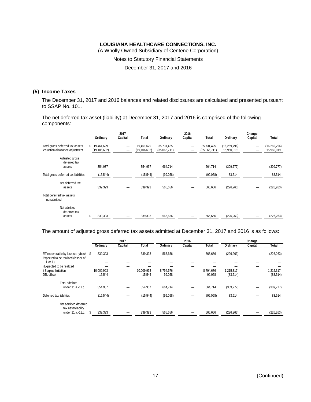(A Wholly Owned Subsidiary of Centene Corporation)

#### Notes to Statutory Financial Statements

December 31, 2017 and 2016

## **(5) Income Taxes**

The December 31, 2017 and 2016 balances and related disclosures are calculated and presented pursuant to SSAP No. 101.

The net deferred tax asset (liability) at December 31, 2017 and 2016 is comprised of the following components:

|                                                                    |                                | 2017    |                              |                            | 2016    |                            |                              | Change  |                              |
|--------------------------------------------------------------------|--------------------------------|---------|------------------------------|----------------------------|---------|----------------------------|------------------------------|---------|------------------------------|
|                                                                    | Ordinary                       | Capital | Total                        | Ordinary                   | Capital | Total                      | Ordinary                     | Capital | Total                        |
| Total gross deferred tax assets<br>Valuation allow ance adjustment | \$19,461,629<br>(19, 106, 692) | —       | 19,461,629<br>(19, 106, 692) | 35,731,425<br>(35,066,711) |         | 35,731,425<br>(35,066,711) | (16, 269, 796)<br>15,960,019 |         | (16, 269, 796)<br>15,960,019 |
| Adjusted gross<br>deferred tax<br>assets                           | 354,937                        |         | 354,937                      | 664,714                    |         | 664,714                    | (309, 777)                   |         | (309, 777)                   |
| Total gross deferred tax liabilities                               | (15, 544)                      |         | (15, 544)                    | (99,058)                   |         | (99,058)                   | 83,514                       |         | 83,514                       |
| Net deferred tax<br>assets                                         | 339,393                        |         | 339,393                      | 565,656                    |         | 565,656                    | (226, 263)                   |         | (226, 263)                   |
| Total deferred tax assets<br>nonadmitted                           |                                |         |                              |                            |         |                            |                              |         |                              |
| Net admitted<br>deferred tax<br>assets                             | \$<br>339,393                  |         | 339,393                      | 565,656                    |         | 565,656                    | (226, 263)                   |         | (226, 263)                   |

The amount of adjusted gross deferred tax assets admitted at December 31, 2017 and 2016 is as follows:

|                                                                            |            | 2017    |            |           | 2016    |           |            | Change  |            |
|----------------------------------------------------------------------------|------------|---------|------------|-----------|---------|-----------|------------|---------|------------|
|                                                                            | Ordinary   | Capital | Total      | Ordinary  | Capital | Total     | Ordinary   | Capital | Total      |
| FIT recoverable by loss carryback \$<br>Expected to be realized (lesser of | 339.393    |         | 339,393    | 565,656   |         | 565,656   | (226, 263) |         | (226, 263) |
| $i.$ or $ii.$ )                                                            |            |         |            |           |         |           |            |         |            |
| i Expected to be realized                                                  |            |         |            |           |         |           |            |         |            |
| ii Surplus limitation                                                      | 10,009,993 |         | 10,009,993 | 8,794,676 |         | 8,794,676 | 1,215,317  |         | .215,317   |
| DTL offset                                                                 | 15,544     |         | 15,544     | 99,058    |         | 99,058    | (83, 514)  |         | (83, 514)  |
| <b>Total admitted</b>                                                      |            |         |            |           |         |           |            |         |            |
| under 11.a.-11.c.                                                          | 354,937    |         | 354,937    | 664,714   |         | 664,714   | (309, 777) |         | (309, 777) |
| Deferred tax liabilities                                                   | (15, 544)  |         | (15, 544)  | (99,058)  |         | (99,058)  | 83,514     |         | 83,514     |
| Net admitted deferred<br>tax asset/liability<br>under 11.a.-11.c.          | 339,393    |         | 339,393    | 565,656   |         | 565,656   | (226, 263) |         | (226, 263) |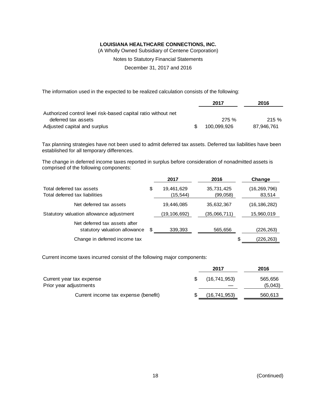(A Wholly Owned Subsidiary of Centene Corporation)

Notes to Statutory Financial Statements

December 31, 2017 and 2016

The information used in the expected to be realized calculation consists of the following:

|                                                               | 2017        | 2016       |
|---------------------------------------------------------------|-------------|------------|
| Authorized control level risk-based capital ratio without net |             |            |
| deferred tax assets                                           | 275%        | 215%       |
| Adjusted capital and surplus                                  | 100.099.926 | 87.946.761 |

Tax planning strategies have not been used to admit deferred tax assets. Deferred tax liabilities have been established for all temporary differences.

The change in deferred income taxes reported in surplus before consideration of nonadmitted assets is comprised of the following components:

|                                                                |    | 2017         | 2016         |   | Change         |
|----------------------------------------------------------------|----|--------------|--------------|---|----------------|
| Total deferred tax assets                                      | \$ | 19,461,629   | 35,731,425   |   | (16, 269, 796) |
| Total deferred tax liabilities                                 |    | (15,544)     | (99,058)     |   | 83,514         |
| Net deferred tax assets                                        |    | 19,446,085   | 35,632,367   |   | (16, 186, 282) |
| Statutory valuation allowance adjustment                       |    | (19,106,692) | (35,066,711) |   | 15,960,019     |
| Net deferred tax assets after<br>statutory valuation allowance | S  | 339,393      | 565,656      |   | (226, 263)     |
| Change in deferred income tax                                  |    |              |              | S | (226,263)      |

Current income taxes incurred consist of the following major components:

|                                      | 2017           | 2016    |
|--------------------------------------|----------------|---------|
| Current year tax expense             | (16, 741, 953) | 565,656 |
| Prior year adjustments               |                | (5,043) |
| Current income tax expense (benefit) | (16, 741, 953) | 560,613 |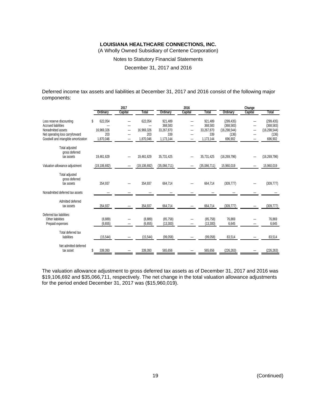(A Wholly Owned Subsidiary of Centene Corporation)

Notes to Statutory Financial Statements

December 31, 2017 and 2016

Deferred income tax assets and liabilities at December 31, 2017 and 2016 consist of the following major components:

|                                                                                                                                                         | 2017                                      |         |                                           |                                                      | 2016    |                                                      | Change                                                         |         |                                                                |
|---------------------------------------------------------------------------------------------------------------------------------------------------------|-------------------------------------------|---------|-------------------------------------------|------------------------------------------------------|---------|------------------------------------------------------|----------------------------------------------------------------|---------|----------------------------------------------------------------|
|                                                                                                                                                         | Ordinary                                  | Capital | Total                                     | Ordinary                                             | Capital | Total                                                | Ordinary                                                       | Capital | Total                                                          |
| Loss reserve discounting<br><b>Accrued liabilities</b><br>Nonadmitted assets<br>Net operating loss carryforward<br>Goodwill and intangible amortization | 622,054<br>16,969,326<br>203<br>1,870,046 |         | 622,054<br>16,969,326<br>203<br>1,870,046 | 921,489<br>368,583<br>33,267,870<br>339<br>1,173,144 |         | 921,489<br>368,583<br>33,267,870<br>339<br>1,173,144 | (299, 435)<br>(368, 583)<br>(16, 298, 544)<br>(136)<br>696,902 |         | (299, 435)<br>(368, 583)<br>(16, 298, 544)<br>(136)<br>696,902 |
| <b>Total adjusted</b><br>gross deferred<br>tax assets                                                                                                   | 19,461,629                                |         | 19,461,629                                | 35,731,425                                           |         | 35,731,425                                           | (16, 269, 796)                                                 |         | (16, 269, 796)                                                 |
| Valuation allowance adjustment                                                                                                                          | (19, 106, 692)                            |         | (19, 106, 692)                            | (35,066,711)                                         |         | (35,066,711)                                         | 15,960,019                                                     |         | 15,960,019                                                     |
| Total adjusted<br>gross deferred<br>tax assets                                                                                                          | 354,937                                   |         | 354,937                                   | 664,714                                              |         | 664,714                                              | (309, 777)                                                     |         | (309, 777)                                                     |
| Nonadmitted deferred tax assets                                                                                                                         |                                           |         |                                           |                                                      |         |                                                      |                                                                |         |                                                                |
| Admitted deferred<br>tax assets                                                                                                                         | 354,937                                   |         | 354,937                                   | 664,714                                              |         | 664,714                                              | (309, 777)                                                     |         | (309, 777)                                                     |
| Deferred tax liabilities:<br>Other liabilities<br>Prepaid expenses                                                                                      | (8,889)<br>(6,655)                        |         | (8,889)<br>(6,655)                        | (85, 758)<br>(13,300)                                |         | (85, 758)<br>(13, 300)                               | 76,869<br>6,645                                                |         | 76,869<br>6,645                                                |
| Total deferred tax<br>liabilities                                                                                                                       | (15, 544)                                 |         | (15, 544)                                 | (99,058)                                             |         | (99,058)                                             | 83,514                                                         |         | 83,514                                                         |
| Net admitted deferred<br>tax asset                                                                                                                      | 339,393                                   |         | 339,393                                   | 565,656                                              |         | 565,656                                              | (226, 263)                                                     |         | (226, 263)                                                     |

The valuation allowance adjustment to gross deferred tax assets as of December 31, 2017 and 2016 was \$19,106,692 and \$35,066,711, respectively. The net change in the total valuation allowance adjustments for the period ended December 31, 2017 was (\$15,960,019).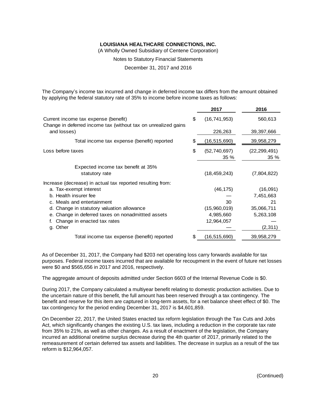(A Wholly Owned Subsidiary of Centene Corporation)

Notes to Statutory Financial Statements

December 31, 2017 and 2016

The Company's income tax incurred and change in deferred income tax differs from the amount obtained by applying the federal statutory rate of 35% to income before income taxes as follows:

|    | 2017                  | 2016                  |
|----|-----------------------|-----------------------|
| \$ | (16, 741, 953)        | 560,613               |
|    | 226,263               | 39,397,666            |
| S  | (16, 515, 690)        | 39,958,279            |
| \$ | (52, 740, 697)<br>35% | (22, 299, 491)<br>35% |
|    |                       |                       |
|    | (18, 459, 243)        | (7,804,822)           |
|    |                       |                       |
|    | (46, 175)             | (16,091)              |
|    |                       | 7,451,663             |
|    | 30                    | 21                    |
|    | (15,960,019)          | 35,066,711            |
|    | 4,985,660             | 5,263,108             |
|    | 12,964,057            |                       |
|    |                       | (2,311)               |
|    | (16,515,690)          | 39,958,279            |
|    |                       |                       |

As of December 31, 2017, the Company had \$203 net operating loss carry forwards available for tax purposes. Federal income taxes incurred that are available for recoupment in the event of future net losses were \$0 and \$565,656 in 2017 and 2016, respectively.

The aggregate amount of deposits admitted under Section 6603 of the Internal Revenue Code is \$0.

During 2017, the Company calculated a multiyear benefit relating to domestic production activities. Due to the uncertain nature of this benefit, the full amount has been reserved through a tax contingency. The benefit and reserve for this item are captured in long-term assets, for a net balance sheet effect of \$0. The tax contingency for the period ending December 31, 2017 is \$4,601,859.

On December 22, 2017, the United States enacted tax reform legislation through the Tax Cuts and Jobs Act, which significantly changes the existing U.S. tax laws, including a reduction in the corporate tax rate from 35% to 21%, as well as other changes. As a result of enactment of the legislation, the Company incurred an additional onetime surplus decrease during the 4th quarter of 2017, primarily related to the remeasurement of certain deferred tax assets and liabilities. The decrease in surplus as a result of the tax reform is \$12,964,057.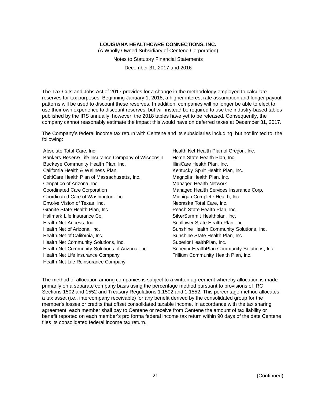(A Wholly Owned Subsidiary of Centene Corporation)

Notes to Statutory Financial Statements

December 31, 2017 and 2016

The Tax Cuts and Jobs Act of 2017 provides for a change in the methodology employed to calculate reserves for tax purposes. Beginning January 1, 2018, a higher interest rate assumption and longer payout patterns will be used to discount these reserves. In addition, companies will no longer be able to elect to use their own experience to discount reserves, but will instead be required to use the industry-based tables published by the IRS annually; however, the 2018 tables have yet to be released. Consequently, the company cannot reasonably estimate the impact this would have on deferred taxes at December 31, 2017.

The Company's federal income tax return with Centene and its subsidiaries including, but not limited to, the following:

Absolute Total Care, Inc. **Health Net Health Plan of Oregon, Inc.** Health Plan of Oregon, Inc. Bankers Reserve Life Insurance Company of Wisconsin Home State Health Plan, Inc. Buckeye Community Health Plan, Inc. **IlliniCare Health Plan, Inc.** California Health & Wellness Plan Kentucky Spirit Health Plan, Inc. CeltiCare Health Plan of Massachusetts, Inc. Magnolia Health Plan, Inc. Cenpatico of Arizona, Inc. **Managed Health Network** Managed Health Network Coordinated Care Corporation **Managed Health Services Insurance Corp.** Managed Health Services Insurance Corp. Coordinated Care of Washington, Inc. The Michigan Complete Health, Inc. Envolve Vision of Texas, Inc. The Care of Texas and American Mebraska Total Care, Inc. Granite State Health Plan, Inc. The Contract Peach State Health Plan, Inc. Hallmark Life Insurance Co. The SilverSummit Healthplan, Inc. Health Net Access, Inc. The Sunflower State Health Plan, Inc. Health Net of Arizona, Inc. The Sunshine Health Community Solutions, Inc. Health Net of California, Inc. The Sunshine State Health Plan, Inc. Health Net Community Solutions, Inc. **Superior HealthPlan, Inc.** Superior HealthPlan, Inc. Health Net Community Solutions of Arizona, Inc. Superior HealthPlan Community Solutions, Inc. Health Net Life Insurance Company Trillium Community Health Plan, Inc. Health Net Life Reinsurance Company

The method of allocation among companies is subject to a written agreement whereby allocation is made primarily on a separate company basis using the percentage method pursuant to provisions of IRC Sections 1502 and 1552 and Treasury Regulations 1.1502 and 1.1552. This percentage method allocates a tax asset (i.e., intercompany receivable) for any benefit derived by the consolidated group for the member's losses or credits that offset consolidated taxable income. In accordance with the tax sharing agreement, each member shall pay to Centene or receive from Centene the amount of tax liability or benefit reported on each member's pro forma federal income tax return within 90 days of the date Centene files its consolidated federal income tax return.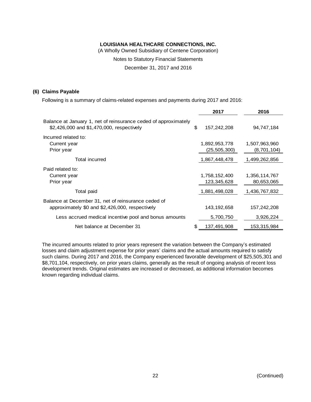(A Wholly Owned Subsidiary of Centene Corporation)

Notes to Statutory Financial Statements

December 31, 2017 and 2016

## **(6) Claims Payable**

Following is a summary of claims-related expenses and payments during 2017 and 2016:

|                                                                                                              |    | 2017                          | 2016                         |
|--------------------------------------------------------------------------------------------------------------|----|-------------------------------|------------------------------|
| Balance at January 1, net of reinsurance ceded of approximately<br>\$2,426,000 and \$1,470,000, respectively | \$ | 157,242,208                   | 94,747,184                   |
| Incurred related to:<br>Current year<br>Prior year                                                           |    | 1,892,953,778<br>(25,505,300) | 1,507,963,960<br>(8,701,104) |
| <b>Total incurred</b>                                                                                        |    | 1,867,448,478                 | 1,499,262,856                |
| Paid related to:<br>Current year<br>Prior year                                                               |    | 1,758,152,400<br>123,345,628  | 1,356,114,767<br>80,653,065  |
| Total paid                                                                                                   |    | 1,881,498,028                 | 1,436,767,832                |
| Balance at December 31, net of reinsurance ceded of<br>approximately \$0 and \$2,426,000, respectively       |    | 143, 192, 658                 | 157,242,208                  |
| Less accrued medical incentive pool and bonus amounts                                                        |    | 5,700,750                     | 3,926,224                    |
| Net balance at December 31                                                                                   | S  | 137,491,908                   | 153,315,984                  |

The incurred amounts related to prior years represent the variation between the Company's estimated losses and claim adjustment expense for prior years' claims and the actual amounts required to satisfy such claims. During 2017 and 2016, the Company experienced favorable development of \$25,505,301 and \$8,701,104, respectively, on prior years claims, generally as the result of ongoing analysis of recent loss development trends. Original estimates are increased or decreased, as additional information becomes known regarding individual claims.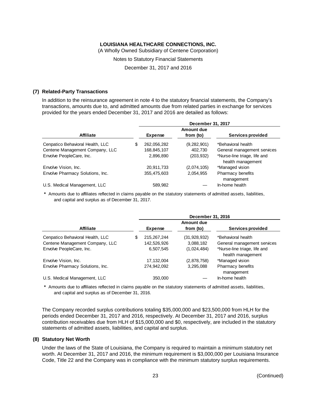(A Wholly Owned Subsidiary of Centene Corporation)

Notes to Statutory Financial Statements

December 31, 2017 and 2016

#### **(7) Related-Party Transactions**

In addition to the reinsurance agreement in note 4 to the statutory financial statements, the Company's transactions, amounts due to, and admitted amounts due from related parties in exchange for services provided for the years ended December 31, 2017 and 2016 are detailed as follows:

|                                  | December 31, 2017 |                         |                                                   |  |  |  |  |
|----------------------------------|-------------------|-------------------------|---------------------------------------------------|--|--|--|--|
| <b>Affiliate</b>                 | Expense           | Amount due<br>from (to) | <b>Services provided</b>                          |  |  |  |  |
| Cenpatico Behavioral Health, LLC | \$<br>262,056,282 | (9,282,901)             | *Behavioral health                                |  |  |  |  |
| Centene Management Company, LLC  | 168,845,107       | 402,730                 | General management services                       |  |  |  |  |
| Envolve PeopleCare, Inc.         | 2,896,890         | (203, 932)              | *Nurse-line triage, life and<br>health management |  |  |  |  |
| Envolve Vision, Inc.             | 20,911,733        | (2,074,105)             | *Managed vision                                   |  |  |  |  |
| Envolve Pharmacy Solutions, Inc. | 355,475,603       | 2,054,955               | Pharmacy benefits<br>management                   |  |  |  |  |
| U.S. Medical Management, LLC     | 589.982           |                         | In-home health                                    |  |  |  |  |

**\*** Amounts due to affiliates reflected in claims payable on the statutory statements of admitted assets, liabilities, and capital and surplus as of December 31, 2017.

|                                  |   |               | December 31, 2016       |                                                   |  |  |  |  |
|----------------------------------|---|---------------|-------------------------|---------------------------------------------------|--|--|--|--|
| <b>Affiliate</b>                 |   | Expense       | Amount due<br>from (to) | Services provided                                 |  |  |  |  |
| Cenpatico Behavioral Health, LLC | S | 215, 267, 244 | (31,928,932)            | *Behavioral health                                |  |  |  |  |
| Centene Management Company, LLC  |   | 142,526,926   | 3,088,182               | General management services                       |  |  |  |  |
| Envolve PeopleCare, Inc.         |   | 6,507,545     | (1,024,484)             | *Nurse-line triage, life and<br>health management |  |  |  |  |
| Envolve Vision, Inc.             |   | 17, 132, 004  | (2,878,758)             | *Managed vision                                   |  |  |  |  |
| Envolve Pharmacy Solutions, Inc. |   | 274.942.092   | 3,295,088               | Pharmacy benefits<br>management                   |  |  |  |  |
| U.S. Medical Management, LLC     |   | 350,000       |                         | In-home health                                    |  |  |  |  |

**\*** Amounts due to affiliates reflected in claims payable on the statutory statements of admitted assets, liabilities, and capital and surplus as of December 31, 2016.

The Company recorded surplus contributions totaling \$35,000,000 and \$23,500,000 from HLH for the periods ended December 31, 2017 and 2016, respectively. At December 31, 2017 and 2016, surplus contribution receivables due from HLH of \$15,000,000 and \$0, respectively, are included in the statutory statements of admitted assets, liabilities, and capital and surplus.

#### **(8) Statutory Net Worth**

Under the laws of the State of Louisiana, the Company is required to maintain a minimum statutory net worth. At December 31, 2017 and 2016, the minimum requirement is \$3,000,000 per Louisiana Insurance Code, Title 22 and the Company was in compliance with the minimum statutory surplus requirements.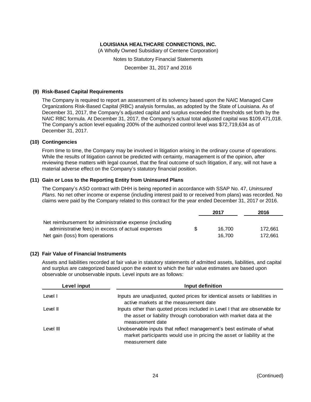(A Wholly Owned Subsidiary of Centene Corporation)

Notes to Statutory Financial Statements

December 31, 2017 and 2016

#### **(9) Risk-Based Capital Requirements**

The Company is required to report an assessment of its solvency based upon the NAIC Managed Care Organizations Risk-Based Capital (RBC) analysis formulas, as adopted by the State of Louisiana. As of December 31, 2017, the Company's adjusted capital and surplus exceeded the thresholds set forth by the NAIC RBC formula. At December 31, 2017, the Company's actual total adjusted capital was \$109,471,018. The Company's action level equaling 200% of the authorized control level was \$72,719,634 as of December 31, 2017.

#### **(10) Contingencies**

From time to time, the Company may be involved in litigation arising in the ordinary course of operations. While the results of litigation cannot be predicted with certainty, management is of the opinion, after reviewing these matters with legal counsel, that the final outcome of such litigation, if any, will not have a material adverse effect on the Company's statutory financial position.

#### **(11) Gain or Loss to the Reporting Entity from Uninsured Plans**

The Company's ASO contract with DHH is being reported in accordance with SSAP No. 47, *Uninsured Plans*. No net other income or expense (including interest paid to or received from plans) was recorded. No claims were paid by the Company related to this contract for the year ended December 31, 2017 or 2016.

|                                                         | 2017 |        | 2016    |  |
|---------------------------------------------------------|------|--------|---------|--|
| Net reimbursement for administrative expense (including |      |        |         |  |
| administrative fees) in excess of actual expenses       | \$.  | 16.700 | 172.661 |  |
| Net gain (loss) from operations                         |      | 16.700 | 172.661 |  |

#### **(12) Fair Value of Financial Instruments**

Assets and liabilities recorded at fair value in statutory statements of admitted assets, liabilities, and capital and surplus are categorized based upon the extent to which the fair value estimates are based upon observable or unobservable inputs. Level inputs are as follows:

| Level input | Input definition                                                                                                                                                        |
|-------------|-------------------------------------------------------------------------------------------------------------------------------------------------------------------------|
| Level I     | Inputs are unadjusted, quoted prices for identical assets or liabilities in<br>active markets at the measurement date                                                   |
| Level II    | Inputs other than quoted prices included in Level I that are observable for<br>the asset or liability through corroboration with market data at the<br>measurement date |
| Level III   | Unobservable inputs that reflect management's best estimate of what<br>market participants would use in pricing the asset or liability at the<br>measurement date       |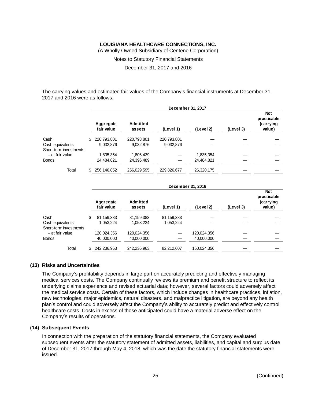(A Wholly Owned Subsidiary of Centene Corporation)

Notes to Statutory Financial Statements

December 31, 2017 and 2016

The carrying values and estimated fair values of the Company's financial instruments at December 31, 2017 and 2016 were as follows:

|                        | December 31, 2017       |                           |             |            |           |                                                  |  |  |  |
|------------------------|-------------------------|---------------------------|-------------|------------|-----------|--------------------------------------------------|--|--|--|
|                        | Aggregate<br>fair value | <b>Admitted</b><br>assets | (Level 1)   | (Level 2)  | (Level 3) | <b>Not</b><br>practicable<br>(carrying<br>value) |  |  |  |
| Cash                   | \$<br>220,793,801       | 220,793,801               | 220,793,801 |            |           |                                                  |  |  |  |
| Cash equivalents       | 9,032,876               | 9.032.876                 | 9,032,876   |            |           |                                                  |  |  |  |
| Short-term investments |                         |                           |             |            |           |                                                  |  |  |  |
| - at fair value        | 1,835,354               | 1,806,429                 |             | 1,835,354  |           |                                                  |  |  |  |
| <b>Bonds</b>           | 24,484,821              | 24,396,489                |             | 24,484,821 |           |                                                  |  |  |  |
| Total                  | \$<br>256,146,852       | 256,029,595               | 229,826,677 | 26,320,175 |           |                                                  |  |  |  |

|                        | December 31, 2016       |                           |            |             |           |                                                  |  |  |  |
|------------------------|-------------------------|---------------------------|------------|-------------|-----------|--------------------------------------------------|--|--|--|
|                        | Aggregate<br>fair value | <b>Admitted</b><br>assets | (Level 1)  | (Level 2)   | (Level 3) | <b>Not</b><br>practicable<br>(carrying<br>value) |  |  |  |
| Cash                   | \$<br>81,159,383        | 81,159,383                | 81,159,383 |             |           |                                                  |  |  |  |
|                        |                         |                           |            |             |           |                                                  |  |  |  |
| Cash equivalents       | 1.053.224               | 1.053.224                 | 1,053,224  |             |           |                                                  |  |  |  |
| Short-term investments |                         |                           |            |             |           |                                                  |  |  |  |
| - at fair value        | 120,024,356             | 120,024,356               |            | 120,024,356 |           |                                                  |  |  |  |
| <b>Bonds</b>           | 40,000,000              | 40,000,000                |            | 40,000,000  |           |                                                  |  |  |  |
| Total                  | \$<br>242.236.963       | 242.236.963               | 82.212.607 | 160.024.356 |           |                                                  |  |  |  |

#### **(13) Risks and Uncertainties**

The Company's profitability depends in large part on accurately predicting and effectively managing medical services costs. The Company continually reviews its premium and benefit structure to reflect its underlying claims experience and revised actuarial data; however, several factors could adversely affect the medical service costs. Certain of these factors, which include changes in healthcare practices, inflation, new technologies, major epidemics, natural disasters, and malpractice litigation, are beyond any health plan's control and could adversely affect the Company's ability to accurately predict and effectively control healthcare costs. Costs in excess of those anticipated could have a material adverse effect on the Company's results of operations.

#### **(14) Subsequent Events**

In connection with the preparation of the statutory financial statements, the Company evaluated subsequent events after the statutory statement of admitted assets, liabilities, and capital and surplus date of December 31, 2017 through May 4, 2018, which was the date the statutory financial statements were issued.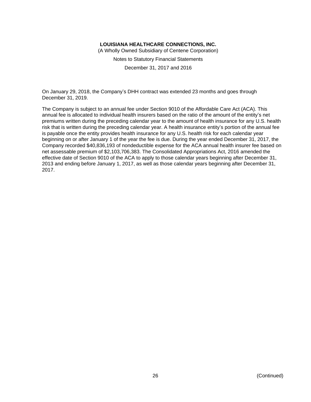(A Wholly Owned Subsidiary of Centene Corporation)

Notes to Statutory Financial Statements

December 31, 2017 and 2016

On January 29, 2018, the Company's DHH contract was extended 23 months and goes through December 31, 2019.

The Company is subject to an annual fee under Section 9010 of the Affordable Care Act (ACA). This annual fee is allocated to individual health insurers based on the ratio of the amount of the entity's net premiums written during the preceding calendar year to the amount of health insurance for any U.S. health risk that is written during the preceding calendar year. A health insurance entity's portion of the annual fee is payable once the entity provides health insurance for any U.S. health risk for each calendar year beginning on or after January 1 of the year the fee is due. During the year ended December 31, 2017, the Company recorded \$40,836,193 of nondeductible expense for the ACA annual health insurer fee based on net assessable premium of \$2,103,706,383. The Consolidated Appropriations Act, 2016 amended the effective date of Section 9010 of the ACA to apply to those calendar years beginning after December 31, 2013 and ending before January 1, 2017, as well as those calendar years beginning after December 31, 2017.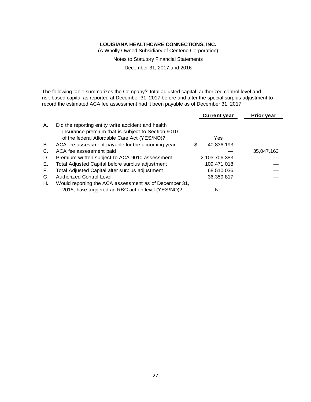(A Wholly Owned Subsidiary of Centene Corporation)

Notes to Statutory Financial Statements

December 31, 2017 and 2016

The following table summarizes the Company's total adjusted capital, authorized control level and risk-based capital as reported at December 31, 2017 before and after the special surplus adjustment to

|    | record the estimated ACA fee assessment had it been payable as of December 31, 2017:                        |   |                     |            |
|----|-------------------------------------------------------------------------------------------------------------|---|---------------------|------------|
|    |                                                                                                             |   | <b>Current year</b> | Prior year |
| Α. | Did the reporting entity write accident and health<br>insurance premium that is subject to Section 9010     |   |                     |            |
|    | of the federal Affordable Care Act (YES/NO)?                                                                |   | Yes.                |            |
| В. | ACA fee assessment payable for the upcoming year                                                            | S | 40,836,193          |            |
| C. | ACA fee assessment paid                                                                                     |   |                     | 35,047,163 |
| D. | Premium written subject to ACA 9010 assessment                                                              |   | 2,103,706,383       |            |
| Е. | Total Adjusted Capital before surplus adjustment                                                            |   | 109,471,018         |            |
| F. | Total Adjusted Capital after surplus adjustment                                                             |   | 68,510,036          |            |
| G. | <b>Authorized Control Level</b>                                                                             |   | 36,359,817          |            |
| Η. | Would reporting the ACA assessment as of December 31,<br>2015, have triggered an RBC action level (YES/NO)? |   | No                  |            |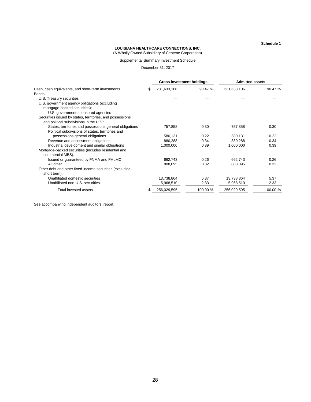**Schedule 1**

#### **LOUISIANA HEALTHCARE CONNECTIONS, INC.** (A Wholly Owned Subsidiary of Centene Corporation)

Supplemental Summary Investment Schedule

December 31, 2017

|                                                                                                      |   | Gross investment holdings |          | <b>Admitted assets</b> |          |  |
|------------------------------------------------------------------------------------------------------|---|---------------------------|----------|------------------------|----------|--|
| Cash, cash equivalents, and short-term investments<br>Bonds:                                         | S | 231,633,106               | 90.47 %  | 231,633,106            | 90.47 %  |  |
| U.S. Treasury securities                                                                             |   |                           |          |                        |          |  |
| U.S. government agency obligations (excluding<br>mortgage-backed securities):                        |   |                           |          |                        |          |  |
| U.S. government-sponsored agencies                                                                   |   |                           |          |                        |          |  |
| Securities issued by states, territories, and possessions<br>and political subdivisions in the U.S.: |   |                           |          |                        |          |  |
| States, territories and possessions general obligations                                              |   | 757,858                   | 0.30     | 757,858                | 0.30     |  |
| Political subdivisions of states, territories and                                                    |   |                           |          |                        |          |  |
| possessions general obligations                                                                      |   | 580,131                   | 0.22     | 580,131                | 0.22     |  |
| Revenue and assessment obligations                                                                   |   | 880,288                   | 0.34     | 880,288                | 0.34     |  |
| Industrial development and similar obligations                                                       |   | 1,000,000                 | 0.39     | 1,000,000              | 0.39     |  |
| Mortgage-backed securities (includes residential and<br>commercial MBS):                             |   |                           |          |                        |          |  |
| Issued or guaranteed by FNMA and FHLMC                                                               |   | 662,743                   | 0.26     | 662,743                | 0.26     |  |
| All other                                                                                            |   | 808,095                   | 0.32     | 808,095                | 0.32     |  |
| Other debt and other fixed-income securities (excluding<br>short term):                              |   |                           |          |                        |          |  |
| Unaffiliated domestic securities                                                                     |   | 13,738,864                | 5.37     | 13,738,864             | 5.37     |  |
| Unaffiliated non-U.S. securities                                                                     |   | 5,968,510                 | 2.33     | 5,968,510              | 2.33     |  |
| Total invested assets                                                                                |   | 256,029,595               | 100.00 % | 256,029,595            | 100.00 % |  |

See accompanying independent auditors' report.